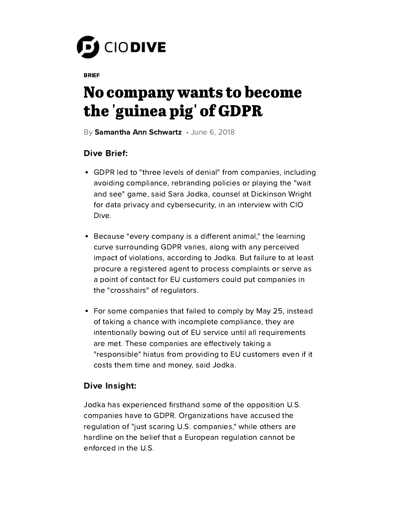

**BRIEF** 

## No company wants to become the 'guinea pig' of GDPR

By S[amantha](https://www.ciodive.com/editors/sschwartz/) Ann Schwartz • June 6, 2018

## **Dive Brief:**

- GDPR led to "three levels of denial" from companies, including avoiding compliance, rebranding policies or playing the "wait and see" game, said Sara Jodka, counsel at Dickinson Wright for data privacy and cybersecurity, in an interview with CIO Dive.
- Because "every company is a different animal," the learning curve surrounding GDPR varies, along with any perceived impact of violations, according to Jodka. But failure to at least procure a registered agent to process complaints or serve as a point of contact for EU customers could put companies in the "crosshairs" of regulators.
- For some companies that failed to comply by May 25, instead of taking a chance with incomplete compliance, they are intentionally bowing out of EU service until all requirements are met. These companies are effectively taking a "responsible" hiatus from providing to EU customers even if it costs them time and money, said Jodka.

## Dive Insight:

Jodka has experienced firsthand some of the opposition U.S. companies have to GDPR. Organizations have accused the regulation of "just scaring U.S. companies," while others are hardline on the belief that a European regulation cannot be enforced in the U.S.